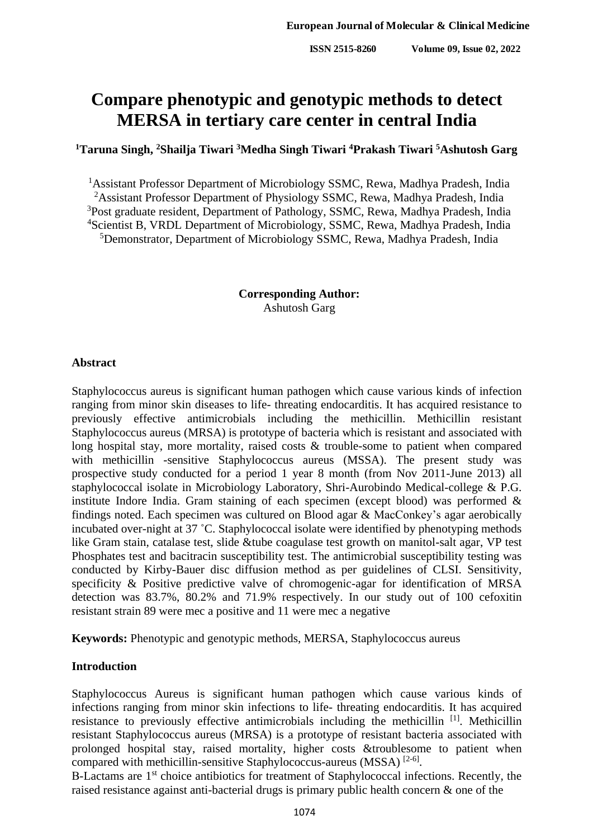#### **ISSN 2515-8260 Volume 09, Issue 02, 2022**

# **Compare phenotypic and genotypic methods to detect MERSA in tertiary care center in central India**

# **<sup>1</sup>Taruna Singh, <sup>2</sup>Shailja Tiwari <sup>3</sup>Medha Singh Tiwari <sup>4</sup>Prakash Tiwari <sup>5</sup>Ashutosh Garg**

<sup>1</sup> Assistant Professor Department of Microbiology SSMC, Rewa, Madhya Pradesh, India <sup>2</sup>Assistant Professor Department of Physiology SSMC, Rewa, Madhya Pradesh, India <sup>3</sup>Post graduate resident, Department of Pathology, SSMC, Rewa, Madhya Pradesh, India <sup>4</sup>Scientist B, VRDL Department of Microbiology, SSMC, Rewa, Madhya Pradesh, India <sup>5</sup>Demonstrator, Department of Microbiology SSMC, Rewa, Madhya Pradesh, India

> **Corresponding Author:**  Ashutosh Garg

#### **Abstract**

Staphylococcus aureus is significant human pathogen which cause various kinds of infection ranging from minor skin diseases to life- threating endocarditis. It has acquired resistance to previously effective antimicrobials including the methicillin. Methicillin resistant Staphylococcus aureus (MRSA) is prototype of bacteria which is resistant and associated with long hospital stay, more mortality, raised costs & trouble-some to patient when compared with methicillin -sensitive Staphylococcus aureus (MSSA). The present study was prospective study conducted for a period 1 year 8 month (from Nov 2011-June 2013) all staphylococcal isolate in Microbiology Laboratory, Shri-Aurobindo Medical-college & P.G. institute Indore India. Gram staining of each specimen (except blood) was performed & findings noted. Each specimen was cultured on Blood agar & MacConkey's agar aerobically incubated over-night at 37 ˚C. Staphylococcal isolate were identified by phenotyping methods like Gram stain, catalase test, slide &tube coagulase test growth on manitol-salt agar, VP test Phosphates test and bacitracin susceptibility test. The antimicrobial susceptibility testing was conducted by Kirby-Bauer disc diffusion method as per guidelines of CLSI. Sensitivity, specificity & Positive predictive valve of chromogenic-agar for identification of MRSA detection was 83.7%, 80.2% and 71.9% respectively. In our study out of 100 cefoxitin resistant strain 89 were mec a positive and 11 were mec a negative

**Keywords:** Phenotypic and genotypic methods, MERSA, Staphylococcus aureus

## **Introduction**

Staphylococcus Aureus is significant human pathogen which cause various kinds of infections ranging from minor skin infections to life- threating endocarditis. It has acquired resistance to previously effective antimicrobials including the methicillin<sup>[1]</sup>. Methicillin resistant Staphylococcus aureus (MRSA) is a prototype of resistant bacteria associated with prolonged hospital stay, raised mortality, higher costs &troublesome to patient when compared with methicillin-sensitive Staphylococcus-aureus (MSSA)<sup>[2-6]</sup>.

Β-Lactams are 1st choice antibiotics for treatment of Staphylococcal infections. Recently, the raised resistance against anti-bacterial drugs is primary public health concern & one of the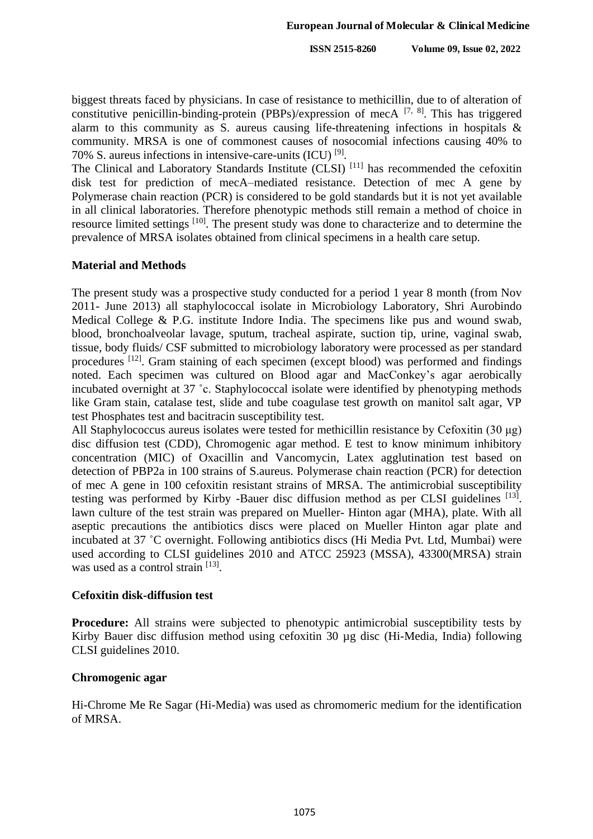biggest threats faced by physicians. In case of resistance to methicillin, due to of alteration of constitutive penicillin-binding-protein (PBPs)/expression of mecA  $^{[7, 8]}$ . This has triggered alarm to this community as S. aureus causing life-threatening infections in hospitals & community. MRSA is one of commonest causes of nosocomial infections causing 40% to 70% S. aureus infections in intensive-care-units (ICU) [9] .

The Clinical and Laboratory Standards Institute (CLSI)<sup>[11]</sup> has recommended the cefoxitin disk test for prediction of mecA–mediated resistance. Detection of mec A gene by Polymerase chain reaction (PCR) is considered to be gold standards but it is not yet available in all clinical laboratories. Therefore phenotypic methods still remain a method of choice in resource limited settings <sup>[10]</sup>. The present study was done to characterize and to determine the prevalence of MRSA isolates obtained from clinical specimens in a health care setup.

#### **Material and Methods**

The present study was a prospective study conducted for a period 1 year 8 month (from Nov 2011- June 2013) all staphylococcal isolate in Microbiology Laboratory, Shri Aurobindo Medical College & P.G. institute Indore India. The specimens like pus and wound swab, blood, bronchoalveolar lavage, sputum, tracheal aspirate, suction tip, urine, vaginal swab, tissue, body fluids/ CSF submitted to microbiology laboratory were processed as per standard procedures <sup>[12]</sup>. Gram staining of each specimen (except blood) was performed and findings noted. Each specimen was cultured on Blood agar and MacConkey's agar aerobically incubated overnight at 37 ˚c. Staphylococcal isolate were identified by phenotyping methods like Gram stain, catalase test, slide and tube coagulase test growth on manitol salt agar, VP test Phosphates test and bacitracin susceptibility test.

All Staphylococcus aureus isolates were tested for methicillin resistance by Cefoxitin (30 μg) disc diffusion test (CDD), Chromogenic agar method. E test to know minimum inhibitory concentration (MIC) of Oxacillin and Vancomycin, Latex agglutination test based on detection of PBP2a in 100 strains of S.aureus. Polymerase chain reaction (PCR) for detection of mec A gene in 100 cefoxitin resistant strains of MRSA. The antimicrobial susceptibility testing was performed by Kirby -Bauer disc diffusion method as per CLSI guidelines [13]. lawn culture of the test strain was prepared on Mueller- Hinton agar (MHA), plate. With all aseptic precautions the antibiotics discs were placed on Mueller Hinton agar plate and incubated at 37 ˚C overnight. Following antibiotics discs (Hi Media Pvt. Ltd, Mumbai) were used according to CLSI guidelines 2010 and ATCC 25923 (MSSA), 43300(MRSA) strain was used as a control strain [13].

#### **Cefoxitin disk-diffusion test**

**Procedure:** All strains were subjected to phenotypic antimicrobial susceptibility tests by Kirby Bauer disc diffusion method using cefoxitin 30 µg disc (Hi-Media, India) following CLSI guidelines 2010.

## **Chromogenic agar**

Hi-Chrome Me Re Sagar (Hi-Media) was used as chromomeric medium for the identification of MRSA.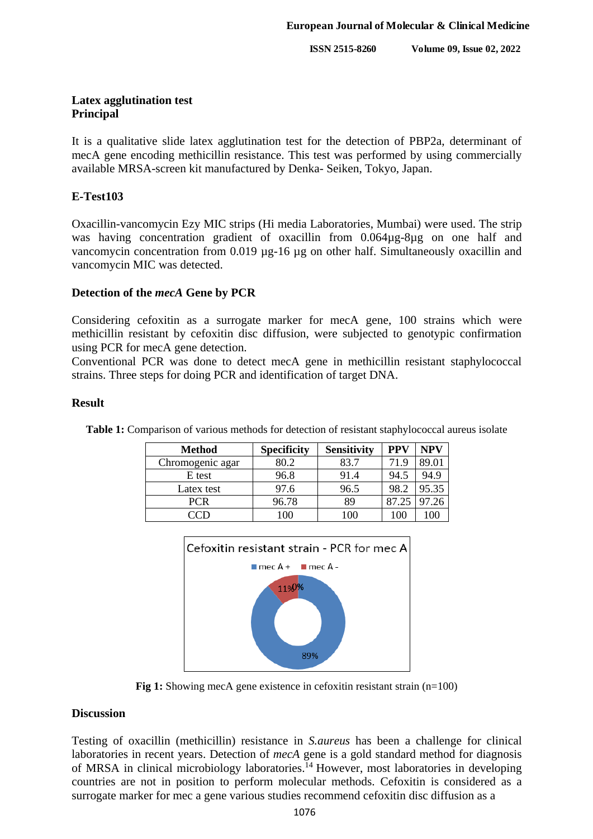**ISSN 2515-8260 Volume 09, Issue 02, 2022**

# **Latex agglutination test Principal**

It is a qualitative slide latex agglutination test for the detection of PBP2a, determinant of mecA gene encoding methicillin resistance. This test was performed by using commercially available MRSA-screen kit manufactured by Denka- Seiken, Tokyo, Japan.

# **E-Test103**

Oxacillin-vancomycin Ezy MIC strips (Hi media Laboratories, Mumbai) were used. The strip was having concentration gradient of oxacillin from 0.064µg-8µg on one half and vancomycin concentration from 0.019 µg-16 µg on other half. Simultaneously oxacillin and vancomycin MIC was detected.

# **Detection of the** *mecA* **Gene by PCR**

Considering cefoxitin as a surrogate marker for mecA gene, 100 strains which were methicillin resistant by cefoxitin disc diffusion, were subjected to genotypic confirmation using PCR for mecA gene detection.

Conventional PCR was done to detect mecA gene in methicillin resistant staphylococcal strains. Three steps for doing PCR and identification of target DNA.

## **Result**

| <b>Method</b>    | <b>Specificity</b> | <b>Sensitivity</b> | <b>PPV</b> | <b>NPV</b> |
|------------------|--------------------|--------------------|------------|------------|
| Chromogenic agar | 30.2               | 83.7               | 71.9       | 89.01      |
| E test           | 96.8               | 91.4               | 94.5       | 94.9       |
| Latex test       | 97.6               | 96.5               | 98.2       | 95.35      |
| PCR              | 96.78              | 89                 |            | 97.26      |
|                  | 100                | 0 <sup>0</sup>     | 00         | $\alpha$   |

**Table 1:** Comparison of various methods for detection of resistant staphylococcal aureus isolate



**Fig 1:** Showing mecA gene existence in cefoxitin resistant strain (n=100)

## **Discussion**

Testing of oxacillin (methicillin) resistance in *S.aureus* has been a challenge for clinical laboratories in recent years. Detection of *mecA* gene is a gold standard method for diagnosis of MRSA in clinical microbiology laboratories.<sup>14</sup> However, most laboratories in developing countries are not in position to perform molecular methods. Cefoxitin is considered as a surrogate marker for mec a gene various studies recommend cefoxitin disc diffusion as a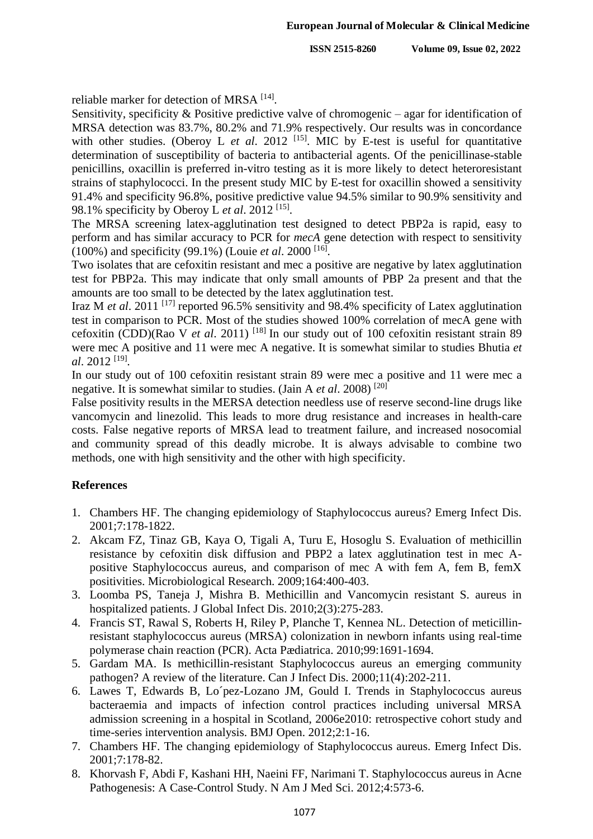reliable marker for detection of MRSA<sup>[14]</sup>.

Sensitivity, specificity & Positive predictive valve of chromogenic – agar for identification of MRSA detection was 83.7%, 80.2% and 71.9% respectively. Our results was in concordance with other studies. (Oberoy L *et al.* 2012<sup>[15]</sup>. MIC by E-test is useful for quantitative determination of susceptibility of bacteria to antibacterial agents. Of the penicillinase-stable penicillins, oxacillin is preferred in-vitro testing as it is more likely to detect heteroresistant strains of staphylococci. In the present study MIC by E-test for oxacillin showed a sensitivity 91.4% and specificity 96.8%, positive predictive value 94.5% similar to 90.9% sensitivity and 98.1% specificity by Oberoy L *et al*. 2012 [15] .

The MRSA screening latex-agglutination test designed to detect PBP2a is rapid, easy to perform and has similar accuracy to PCR for *mecA* gene detection with respect to sensitivity (100%) and specificity (99.1%) (Louie *et al*. 2000 [16] .

Two isolates that are cefoxitin resistant and mec a positive are negative by latex agglutination test for PBP2a. This may indicate that only small amounts of PBP 2a present and that the amounts are too small to be detected by the latex agglutination test.

Iraz M *et al*. 2011 [17] reported 96.5% sensitivity and 98.4% specificity of Latex agglutination test in comparison to PCR. Most of the studies showed 100% correlation of mecA gene with cefoxitin (CDD)(Rao V *et al*. 2011) [18] In our study out of 100 cefoxitin resistant strain 89 were mec A positive and 11 were mec A negative. It is somewhat similar to studies Bhutia *et al*. 2012 [19] .

In our study out of 100 cefoxitin resistant strain 89 were mec a positive and 11 were mec a negative. It is somewhat similar to studies. (Jain A *et al*. 2008) [20]

False positivity results in the MERSA detection needless use of reserve second-line drugs like vancomycin and linezolid. This leads to more drug resistance and increases in health-care costs. False negative reports of MRSA lead to treatment failure, and increased nosocomial and community spread of this deadly microbe. It is always advisable to combine two methods, one with high sensitivity and the other with high specificity.

## **References**

- 1. Chambers HF. The changing epidemiology of Staphylococcus aureus? Emerg Infect Dis. 2001;7:178-1822.
- 2. Akcam FZ, Tinaz GB, Kaya O, Tigali A, Turu E, Hosoglu S. Evaluation of methicillin resistance by cefoxitin disk diffusion and PBP2 a latex agglutination test in mec Apositive Staphylococcus aureus, and comparison of mec A with fem A, fem B, femX positivities. Microbiological Research. 2009;164:400-403.
- 3. Loomba PS, Taneja J, Mishra B. Methicillin and Vancomycin resistant S. aureus in hospitalized patients. J Global Infect Dis. 2010;2(3):275-283.
- 4. Francis ST, Rawal S, Roberts H, Riley P, Planche T, Kennea NL. Detection of meticillinresistant staphylococcus aureus (MRSA) colonization in newborn infants using real-time polymerase chain reaction (PCR). Acta Pædiatrica. 2010;99:1691-1694.
- 5. Gardam MA. Is methicillin-resistant Staphylococcus aureus an emerging community pathogen? A review of the literature. Can J Infect Dis. 2000;11(4):202-211.
- 6. Lawes T, Edwards B, Lo´pez-Lozano JM, Gould I. Trends in Staphylococcus aureus bacteraemia and impacts of infection control practices including universal MRSA admission screening in a hospital in Scotland, 2006e2010: retrospective cohort study and time-series intervention analysis. BMJ Open. 2012;2:1-16.
- 7. Chambers HF. The changing epidemiology of Staphylococcus aureus. Emerg Infect Dis. 2001;7:178-82.
- 8. Khorvash F, Abdi F, Kashani HH, Naeini FF, Narimani T. Staphylococcus aureus in Acne Pathogenesis: A Case-Control Study. N Am J Med Sci. 2012;4:573-6.